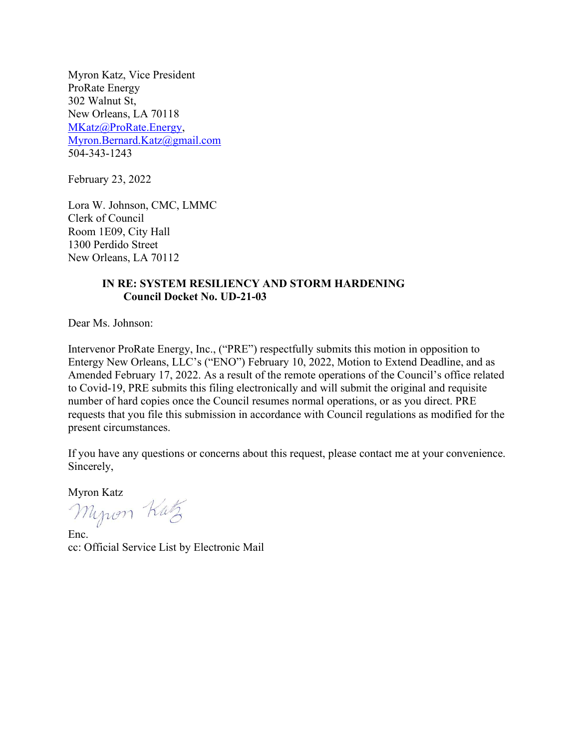Myron Katz, Vice President ProRate Energy 302 Walnut St, New Orleans, LA 70118 MKatz@ProRate.Energy, Myron.Bernard.Katz@gmail.com 504-343-1243

February 23, 2022

Lora W. Johnson, CMC, LMMC Clerk of Council Room 1E09, City Hall 1300 Perdido Street New Orleans, LA 70112

# IN RE: SYSTEM RESILIENCY AND STORM HARDENING Council Docket No. UD-21-03

Dear Ms. Johnson:

Intervenor ProRate Energy, Inc., ("PRE") respectfully submits this motion in opposition to Entergy New Orleans, LLC's ("ENO") February 10, 2022, Motion to Extend Deadline, and as Amended February 17, 2022. As a result of the remote operations of the Council's office related to Covid-19, PRE submits this filing electronically and will submit the original and requisite number of hard copies once the Council resumes normal operations, or as you direct. PRE requests that you file this submission in accordance with Council regulations as modified for the present circumstances.

If you have any questions or concerns about this request, please contact me at your convenience. Sincerely,

Myron Kutz

Enc. cc: Official Service List by Electronic Mail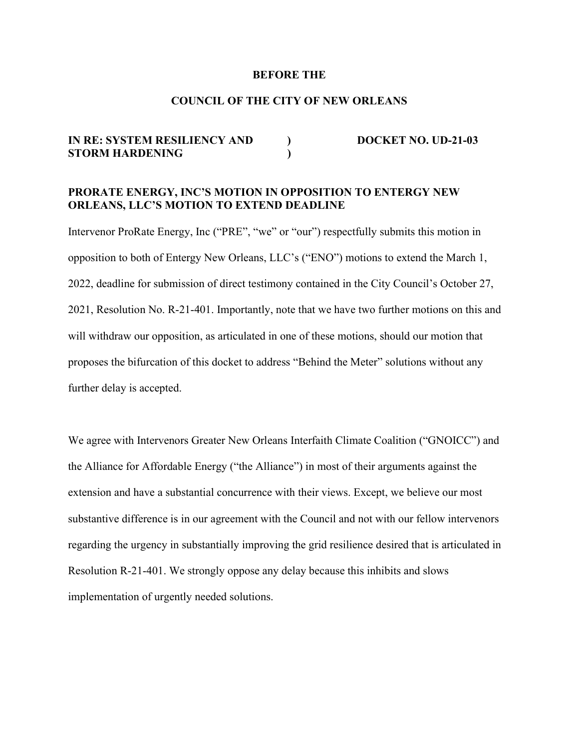#### BEFORE THE

### COUNCIL OF THE CITY OF NEW ORLEANS

# IN RE: SYSTEM RESILIENCY AND DOCKET NO. UD-21-03 STORM HARDENING (1)

# PRORATE ENERGY, INC'S MOTION IN OPPOSITION TO ENTERGY NEW ORLEANS, LLC'S MOTION TO EXTEND DEADLINE

Intervenor ProRate Energy, Inc ("PRE", "we" or "our") respectfully submits this motion in opposition to both of Entergy New Orleans, LLC's ("ENO") motions to extend the March 1, 2022, deadline for submission of direct testimony contained in the City Council's October 27, 2021, Resolution No. R-21-401. Importantly, note that we have two further motions on this and will withdraw our opposition, as articulated in one of these motions, should our motion that proposes the bifurcation of this docket to address "Behind the Meter" solutions without any further delay is accepted.

We agree with Intervenors Greater New Orleans Interfaith Climate Coalition ("GNOICC") and the Alliance for Affordable Energy ("the Alliance") in most of their arguments against the extension and have a substantial concurrence with their views. Except, we believe our most substantive difference is in our agreement with the Council and not with our fellow intervenors regarding the urgency in substantially improving the grid resilience desired that is articulated in Resolution R-21-401. We strongly oppose any delay because this inhibits and slows implementation of urgently needed solutions.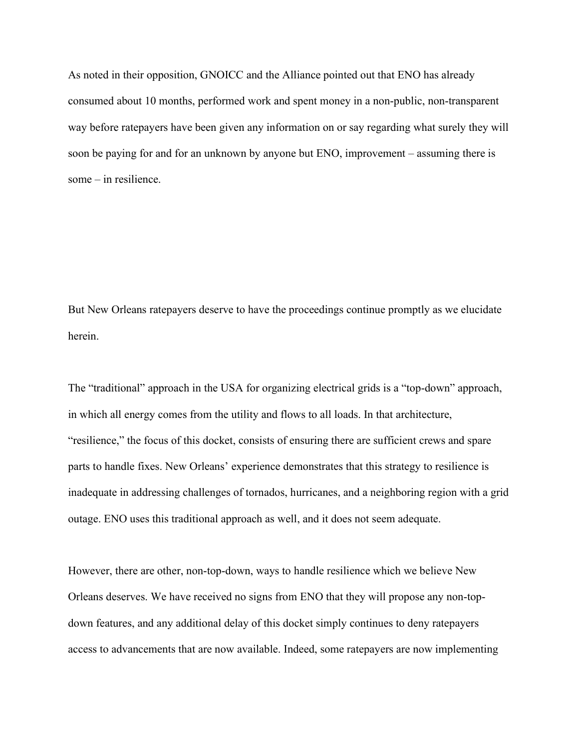As noted in their opposition, GNOICC and the Alliance pointed out that ENO has already consumed about 10 months, performed work and spent money in a non-public, non-transparent way before ratepayers have been given any information on or say regarding what surely they will soon be paying for and for an unknown by anyone but ENO, improvement – assuming there is some – in resilience.

But New Orleans ratepayers deserve to have the proceedings continue promptly as we elucidate herein.

The "traditional" approach in the USA for organizing electrical grids is a "top-down" approach, in which all energy comes from the utility and flows to all loads. In that architecture, "resilience," the focus of this docket, consists of ensuring there are sufficient crews and spare parts to handle fixes. New Orleans' experience demonstrates that this strategy to resilience is inadequate in addressing challenges of tornados, hurricanes, and a neighboring region with a grid outage. ENO uses this traditional approach as well, and it does not seem adequate.

However, there are other, non-top-down, ways to handle resilience which we believe New Orleans deserves. We have received no signs from ENO that they will propose any non-topdown features, and any additional delay of this docket simply continues to deny ratepayers access to advancements that are now available. Indeed, some ratepayers are now implementing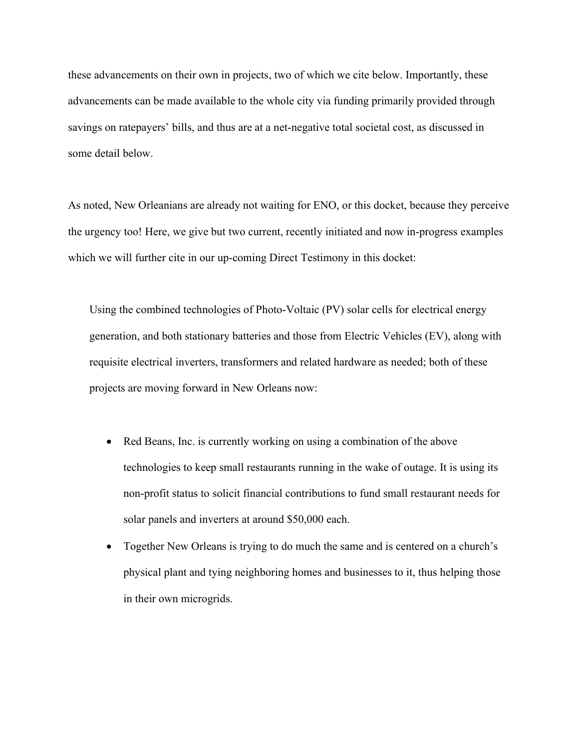these advancements on their own in projects, two of which we cite below. Importantly, these advancements can be made available to the whole city via funding primarily provided through savings on ratepayers' bills, and thus are at a net-negative total societal cost, as discussed in some detail below.

As noted, New Orleanians are already not waiting for ENO, or this docket, because they perceive the urgency too! Here, we give but two current, recently initiated and now in-progress examples which we will further cite in our up-coming Direct Testimony in this docket:

Using the combined technologies of Photo-Voltaic (PV) solar cells for electrical energy generation, and both stationary batteries and those from Electric Vehicles (EV), along with requisite electrical inverters, transformers and related hardware as needed; both of these projects are moving forward in New Orleans now:

- Red Beans, Inc. is currently working on using a combination of the above technologies to keep small restaurants running in the wake of outage. It is using its non-profit status to solicit financial contributions to fund small restaurant needs for solar panels and inverters at around \$50,000 each.
- Together New Orleans is trying to do much the same and is centered on a church's physical plant and tying neighboring homes and businesses to it, thus helping those in their own microgrids.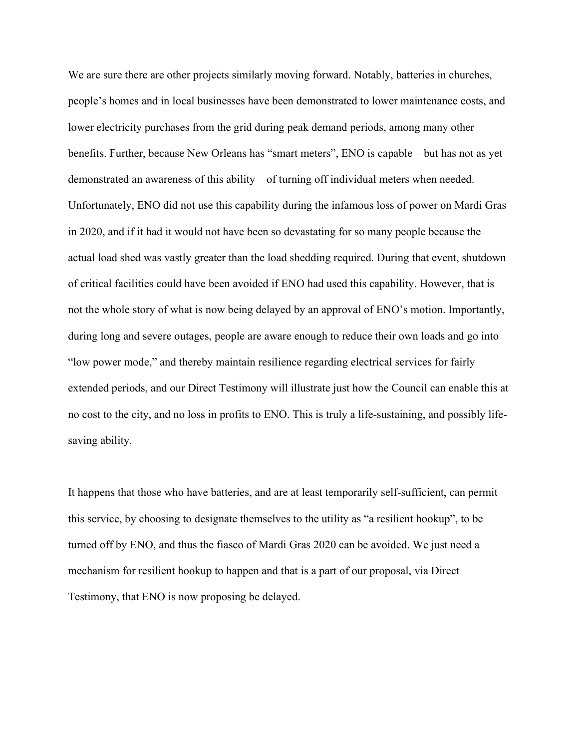We are sure there are other projects similarly moving forward. Notably, batteries in churches, people's homes and in local businesses have been demonstrated to lower maintenance costs, and lower electricity purchases from the grid during peak demand periods, among many other benefits. Further, because New Orleans has "smart meters", ENO is capable – but has not as yet demonstrated an awareness of this ability – of turning off individual meters when needed. Unfortunately, ENO did not use this capability during the infamous loss of power on Mardi Gras in 2020, and if it had it would not have been so devastating for so many people because the actual load shed was vastly greater than the load shedding required. During that event, shutdown of critical facilities could have been avoided if ENO had used this capability. However, that is not the whole story of what is now being delayed by an approval of ENO's motion. Importantly, during long and severe outages, people are aware enough to reduce their own loads and go into "low power mode," and thereby maintain resilience regarding electrical services for fairly extended periods, and our Direct Testimony will illustrate just how the Council can enable this at no cost to the city, and no loss in profits to ENO. This is truly a life-sustaining, and possibly lifesaving ability.

It happens that those who have batteries, and are at least temporarily self-sufficient, can permit this service, by choosing to designate themselves to the utility as "a resilient hookup", to be turned off by ENO, and thus the fiasco of Mardi Gras 2020 can be avoided. We just need a mechanism for resilient hookup to happen and that is a part of our proposal, via Direct Testimony, that ENO is now proposing be delayed.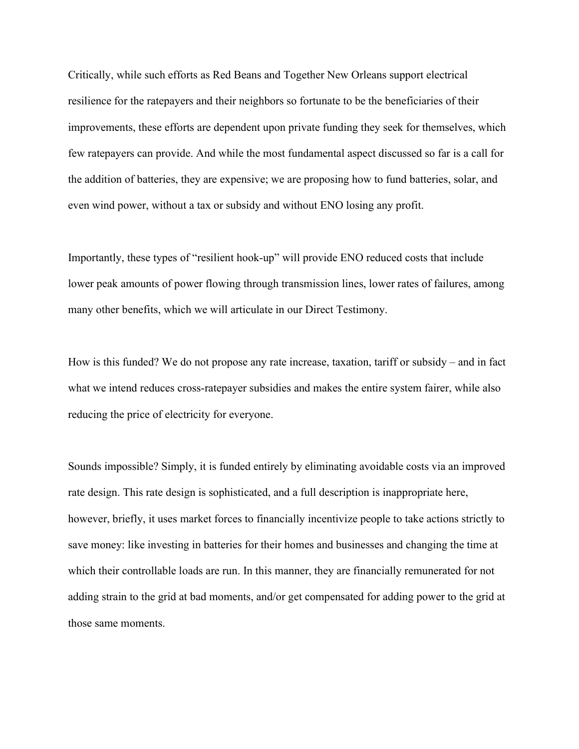Critically, while such efforts as Red Beans and Together New Orleans support electrical resilience for the ratepayers and their neighbors so fortunate to be the beneficiaries of their improvements, these efforts are dependent upon private funding they seek for themselves, which few ratepayers can provide. And while the most fundamental aspect discussed so far is a call for the addition of batteries, they are expensive; we are proposing how to fund batteries, solar, and even wind power, without a tax or subsidy and without ENO losing any profit.

Importantly, these types of "resilient hook-up" will provide ENO reduced costs that include lower peak amounts of power flowing through transmission lines, lower rates of failures, among many other benefits, which we will articulate in our Direct Testimony.

How is this funded? We do not propose any rate increase, taxation, tariff or subsidy – and in fact what we intend reduces cross-ratepayer subsidies and makes the entire system fairer, while also reducing the price of electricity for everyone.

Sounds impossible? Simply, it is funded entirely by eliminating avoidable costs via an improved rate design. This rate design is sophisticated, and a full description is inappropriate here, however, briefly, it uses market forces to financially incentivize people to take actions strictly to save money: like investing in batteries for their homes and businesses and changing the time at which their controllable loads are run. In this manner, they are financially remunerated for not adding strain to the grid at bad moments, and/or get compensated for adding power to the grid at those same moments.